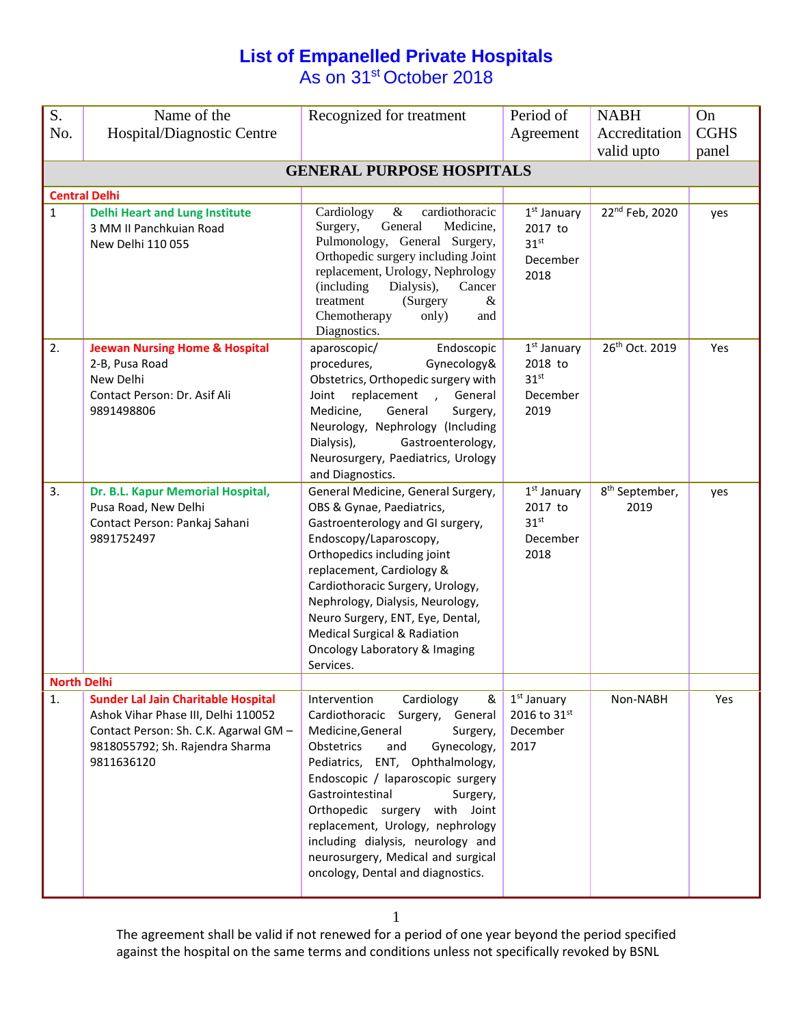## **List of Empanelled Private Hospitals** As on 31<sup>st</sup> October 2018

| S.                 | Name of the                                                                                                                                                                 | Recognized for treatment                                                                                                                                                                                                                                                                                                                                                                                                             | Period of                                                        | <b>NABH</b>                        | On          |  |  |  |  |  |
|--------------------|-----------------------------------------------------------------------------------------------------------------------------------------------------------------------------|--------------------------------------------------------------------------------------------------------------------------------------------------------------------------------------------------------------------------------------------------------------------------------------------------------------------------------------------------------------------------------------------------------------------------------------|------------------------------------------------------------------|------------------------------------|-------------|--|--|--|--|--|
| No.                | Hospital/Diagnostic Centre                                                                                                                                                  |                                                                                                                                                                                                                                                                                                                                                                                                                                      | Agreement                                                        | Accreditation                      | <b>CGHS</b> |  |  |  |  |  |
|                    |                                                                                                                                                                             |                                                                                                                                                                                                                                                                                                                                                                                                                                      |                                                                  | valid upto                         | panel       |  |  |  |  |  |
|                    | <b>GENERAL PURPOSE HOSPITALS</b>                                                                                                                                            |                                                                                                                                                                                                                                                                                                                                                                                                                                      |                                                                  |                                    |             |  |  |  |  |  |
|                    | <b>Central Delhi</b>                                                                                                                                                        |                                                                                                                                                                                                                                                                                                                                                                                                                                      |                                                                  |                                    |             |  |  |  |  |  |
| $\mathbf{1}$       | <b>Delhi Heart and Lung Institute</b><br>3 MM II Panchkujan Road<br>New Delhi 110 055                                                                                       | Cardiology<br>$\&$<br>cardiothoracic<br>Surgery,<br>Medicine,<br>General<br>Pulmonology, General Surgery,<br>Orthopedic surgery including Joint<br>replacement, Urology, Nephrology<br>(including)<br>Dialysis),<br>Cancer<br>$\&$<br>(Surgery<br>treatment<br>Chemotherapy<br>only)<br>and<br>Diagnostics.                                                                                                                          | $1st$ January<br>2017 to<br>31 <sup>st</sup><br>December<br>2018 | 22 <sup>nd</sup> Feb, 2020         | yes         |  |  |  |  |  |
| 2.                 | <b>Jeewan Nursing Home &amp; Hospital</b><br>2-B, Pusa Road<br>New Delhi<br>Contact Person: Dr. Asif Ali<br>9891498806                                                      | Endoscopic<br>aparoscopic/<br>procedures,<br>Gynecology&<br>Obstetrics, Orthopedic surgery with<br>replacement<br>General<br>Joint<br>$\overline{1}$<br>Medicine,<br>General<br>Surgery,<br>Neurology, Nephrology (Including<br>Dialysis),<br>Gastroenterology,<br>Neurosurgery, Paediatrics, Urology<br>and Diagnostics.                                                                                                            | $1st$ January<br>2018 to<br>31 <sup>st</sup><br>December<br>2019 | 26th Oct. 2019                     | Yes         |  |  |  |  |  |
| 3.                 | Dr. B.L. Kapur Memorial Hospital,<br>Pusa Road, New Delhi<br>Contact Person: Pankaj Sahani<br>9891752497                                                                    | General Medicine, General Surgery,<br>OBS & Gynae, Paediatrics,<br>Gastroenterology and GI surgery,<br>Endoscopy/Laparoscopy,<br>Orthopedics including joint<br>replacement, Cardiology &<br>Cardiothoracic Surgery, Urology,<br>Nephrology, Dialysis, Neurology,<br>Neuro Surgery, ENT, Eye, Dental,<br>Medical Surgical & Radiation<br><b>Oncology Laboratory &amp; Imaging</b><br>Services.                                       | $1st$ January<br>2017 to<br>31 <sup>st</sup><br>December<br>2018 | 8 <sup>th</sup> September,<br>2019 | yes         |  |  |  |  |  |
| <b>North Delhi</b> |                                                                                                                                                                             |                                                                                                                                                                                                                                                                                                                                                                                                                                      |                                                                  |                                    |             |  |  |  |  |  |
| 1.                 | <b>Sunder Lal Jain Charitable Hospital</b><br>Ashok Vihar Phase III, Delhi 110052<br>Contact Person: Sh. C.K. Agarwal GM -<br>9818055792; Sh. Rajendra Sharma<br>9811636120 | Intervention<br>Cardiology<br>&<br>Cardiothoracic Surgery, General<br>Medicine, General<br>Surgery,<br>Obstetrics<br>and<br>Gynecology,<br>Pediatrics, ENT, Ophthalmology,<br>Endoscopic / laparoscopic surgery<br>Gastrointestinal<br>Surgery,<br>Orthopedic surgery with Joint<br>replacement, Urology, nephrology<br>including dialysis, neurology and<br>neurosurgery, Medical and surgical<br>oncology, Dental and diagnostics. | $1st$ January<br>2016 to 31st<br>December<br>2017                | Non-NABH                           | Yes         |  |  |  |  |  |

1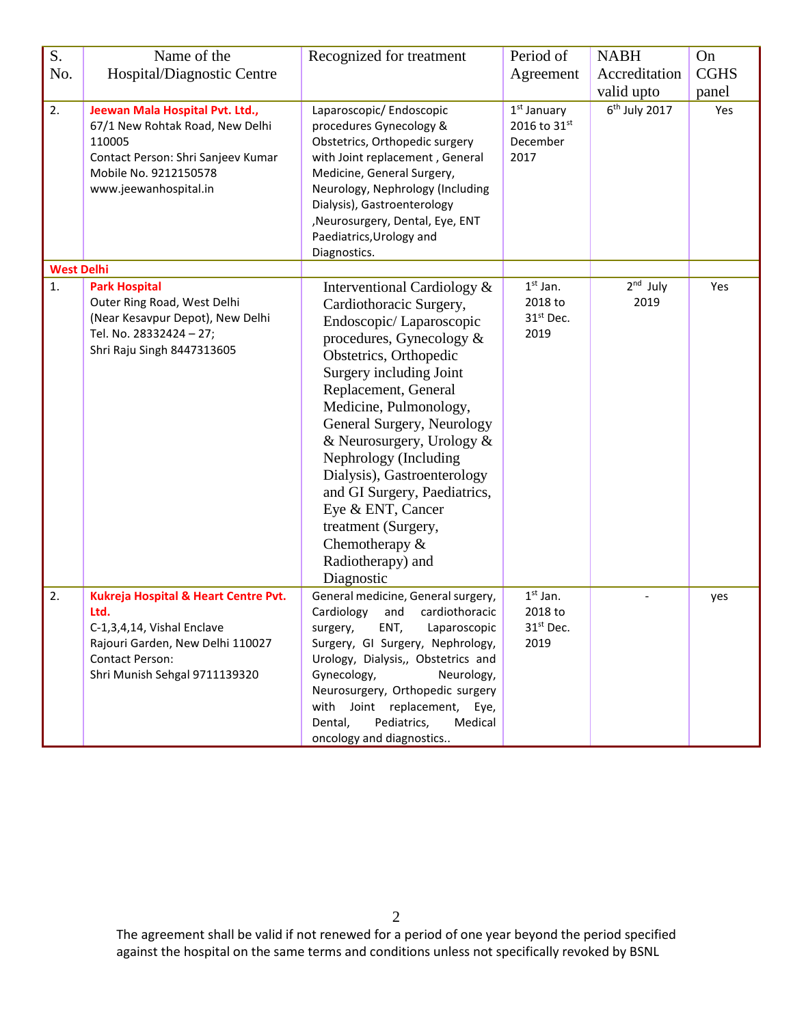| S.                | Name of the                                                                                                                                                               | Recognized for treatment                                                                                                                                                                                                                                                                                                                                                                                                                                                      | Period of                                              | <b>NABH</b>        | On          |
|-------------------|---------------------------------------------------------------------------------------------------------------------------------------------------------------------------|-------------------------------------------------------------------------------------------------------------------------------------------------------------------------------------------------------------------------------------------------------------------------------------------------------------------------------------------------------------------------------------------------------------------------------------------------------------------------------|--------------------------------------------------------|--------------------|-------------|
| No.               | Hospital/Diagnostic Centre                                                                                                                                                |                                                                                                                                                                                                                                                                                                                                                                                                                                                                               | Agreement                                              | Accreditation      | <b>CGHS</b> |
|                   |                                                                                                                                                                           |                                                                                                                                                                                                                                                                                                                                                                                                                                                                               |                                                        | valid upto         | panel       |
| 2.                | Jeewan Mala Hospital Pvt. Ltd.,<br>67/1 New Rohtak Road, New Delhi<br>110005<br>Contact Person: Shri Sanjeev Kumar<br>Mobile No. 9212150578<br>www.jeewanhospital.in      | Laparoscopic/ Endoscopic<br>procedures Gynecology &<br>Obstetrics, Orthopedic surgery<br>with Joint replacement, General<br>Medicine, General Surgery,<br>Neurology, Nephrology (Including<br>Dialysis), Gastroenterology<br>, Neurosurgery, Dental, Eye, ENT<br>Paediatrics, Urology and<br>Diagnostics.                                                                                                                                                                     | $1st$ January<br>2016 to 31st<br>December<br>2017      | $6th$ July 2017    | Yes         |
| <b>West Delhi</b> |                                                                                                                                                                           |                                                                                                                                                                                                                                                                                                                                                                                                                                                                               |                                                        |                    |             |
| 1.                | <b>Park Hospital</b><br>Outer Ring Road, West Delhi<br>(Near Kesavpur Depot), New Delhi<br>Tel. No. 28332424 - 27;<br>Shri Raju Singh 8447313605                          | Interventional Cardiology &<br>Cardiothoracic Surgery,<br>Endoscopic/Laparoscopic<br>procedures, Gynecology $\&$<br>Obstetrics, Orthopedic<br>Surgery including Joint<br>Replacement, General<br>Medicine, Pulmonology,<br>General Surgery, Neurology<br>& Neurosurgery, Urology &<br>Nephrology (Including<br>Dialysis), Gastroenterology<br>and GI Surgery, Paediatrics,<br>Eye & ENT, Cancer<br>treatment (Surgery,<br>Chemotherapy $&$<br>Radiotherapy) and<br>Diagnostic | $1st$ Jan.<br>2018 to<br>31 <sup>st</sup> Dec.<br>2019 | $2nd$ July<br>2019 | Yes         |
| 2.                | Kukreja Hospital & Heart Centre Pvt.<br>Ltd.<br>C-1,3,4,14, Vishal Enclave<br>Rajouri Garden, New Delhi 110027<br><b>Contact Person:</b><br>Shri Munish Sehgal 9711139320 | General medicine, General surgery,<br>Cardiology<br>and<br>cardiothoracic<br>surgery,<br>ENT,<br>Laparoscopic<br>Surgery, GI Surgery, Nephrology,<br>Urology, Dialysis,, Obstetrics and<br>Gynecology,<br>Neurology,<br>Neurosurgery, Orthopedic surgery<br>with Joint replacement,<br>Eye,<br>Pediatrics,<br>Dental,<br>Medical<br>oncology and diagnostics                                                                                                                  | $1st$ Jan.<br>2018 to<br>31 <sup>st</sup> Dec.<br>2019 |                    | yes         |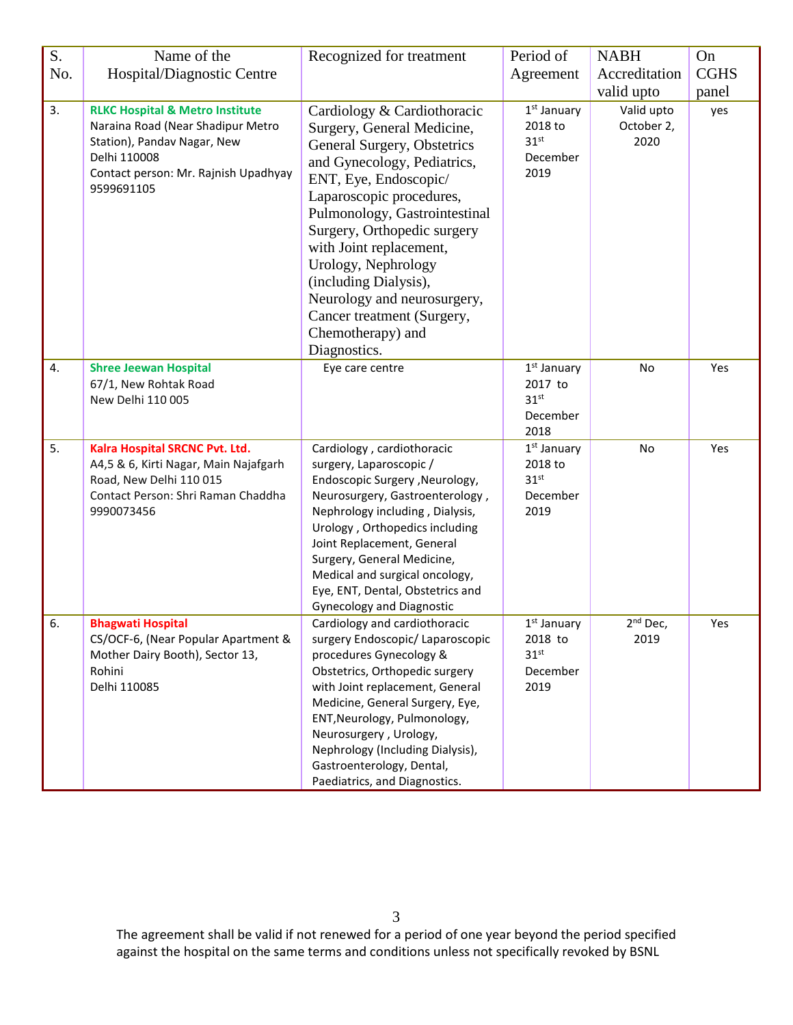| S.  | Name of the                                                                                                                                                                          | Recognized for treatment                                                                                                                                                                                                                                                                                                                                                                                                  | Period of                                                                  | <b>NABH</b>                      | On          |
|-----|--------------------------------------------------------------------------------------------------------------------------------------------------------------------------------------|---------------------------------------------------------------------------------------------------------------------------------------------------------------------------------------------------------------------------------------------------------------------------------------------------------------------------------------------------------------------------------------------------------------------------|----------------------------------------------------------------------------|----------------------------------|-------------|
| No. | Hospital/Diagnostic Centre                                                                                                                                                           |                                                                                                                                                                                                                                                                                                                                                                                                                           | Agreement                                                                  | Accreditation                    | <b>CGHS</b> |
|     |                                                                                                                                                                                      |                                                                                                                                                                                                                                                                                                                                                                                                                           |                                                                            | valid upto                       | panel       |
| 3.  | <b>RLKC Hospital &amp; Metro Institute</b><br>Naraina Road (Near Shadipur Metro<br>Station), Pandav Nagar, New<br>Delhi 110008<br>Contact person: Mr. Rajnish Upadhyay<br>9599691105 | Cardiology & Cardiothoracic<br>Surgery, General Medicine,<br>General Surgery, Obstetrics<br>and Gynecology, Pediatrics,<br>ENT, Eye, Endoscopic/<br>Laparoscopic procedures,<br>Pulmonology, Gastrointestinal<br>Surgery, Orthopedic surgery<br>with Joint replacement,<br>Urology, Nephrology<br>(including Dialysis),<br>Neurology and neurosurgery,<br>Cancer treatment (Surgery,<br>Chemotherapy) and<br>Diagnostics. | $1st$ January<br>2018 to<br>31 <sup>st</sup><br>December<br>2019           | Valid upto<br>October 2,<br>2020 | yes         |
| 4.  | <b>Shree Jeewan Hospital</b><br>67/1, New Rohtak Road<br>New Delhi 110 005                                                                                                           | Eye care centre                                                                                                                                                                                                                                                                                                                                                                                                           | 1 <sup>st</sup> January<br>2017 to<br>31 <sup>st</sup><br>December<br>2018 | No                               | Yes         |
| 5.  | Kalra Hospital SRCNC Pvt. Ltd.<br>A4,5 & 6, Kirti Nagar, Main Najafgarh<br>Road, New Delhi 110 015<br>Contact Person: Shri Raman Chaddha<br>9990073456                               | Cardiology, cardiothoracic<br>surgery, Laparoscopic /<br>Endoscopic Surgery , Neurology,<br>Neurosurgery, Gastroenterology,<br>Nephrology including, Dialysis,<br>Urology, Orthopedics including<br>Joint Replacement, General<br>Surgery, General Medicine,<br>Medical and surgical oncology,<br>Eye, ENT, Dental, Obstetrics and<br><b>Gynecology and Diagnostic</b>                                                    | $1st$ January<br>2018 to<br>31 <sup>st</sup><br>December<br>2019           | No                               | Yes         |
| 6.  | <b>Bhagwati Hospital</b><br>CS/OCF-6, (Near Popular Apartment &<br>Mother Dairy Booth), Sector 13,<br>Rohini<br>Delhi 110085                                                         | Cardiology and cardiothoracic<br>surgery Endoscopic/ Laparoscopic<br>procedures Gynecology &<br>Obstetrics, Orthopedic surgery<br>with Joint replacement, General<br>Medicine, General Surgery, Eye,<br>ENT, Neurology, Pulmonology,<br>Neurosurgery, Urology,<br>Nephrology (Including Dialysis),<br>Gastroenterology, Dental,<br>Paediatrics, and Diagnostics.                                                          | $1st$ January<br>2018 to<br>31 <sup>st</sup><br>December<br>2019           | $2nd$ Dec,<br>2019               | Yes         |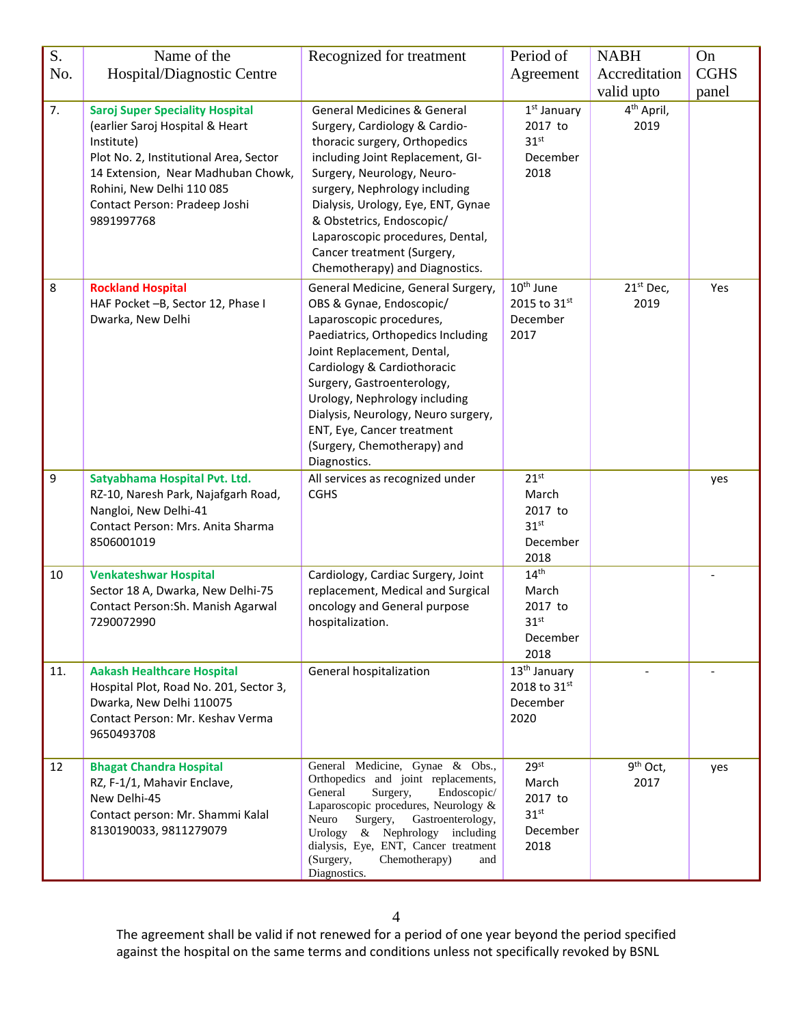| S.      | Name of the                                                                                                                                                                                                                                         | Recognized for treatment                                                                                                                                                                                                                                                                                                                                                           | Period of                                                                    | <b>NABH</b>                    | On          |
|---------|-----------------------------------------------------------------------------------------------------------------------------------------------------------------------------------------------------------------------------------------------------|------------------------------------------------------------------------------------------------------------------------------------------------------------------------------------------------------------------------------------------------------------------------------------------------------------------------------------------------------------------------------------|------------------------------------------------------------------------------|--------------------------------|-------------|
| No.     | Hospital/Diagnostic Centre                                                                                                                                                                                                                          |                                                                                                                                                                                                                                                                                                                                                                                    | Agreement                                                                    | Accreditation                  | <b>CGHS</b> |
|         |                                                                                                                                                                                                                                                     |                                                                                                                                                                                                                                                                                                                                                                                    |                                                                              | valid upto                     | panel       |
| 7.      | <b>Saroj Super Speciality Hospital</b><br>(earlier Saroj Hospital & Heart<br>Institute)<br>Plot No. 2, Institutional Area, Sector<br>14 Extension, Near Madhuban Chowk,<br>Rohini, New Delhi 110 085<br>Contact Person: Pradeep Joshi<br>9891997768 | <b>General Medicines &amp; General</b><br>Surgery, Cardiology & Cardio-<br>thoracic surgery, Orthopedics<br>including Joint Replacement, GI-<br>Surgery, Neurology, Neuro-<br>surgery, Nephrology including<br>Dialysis, Urology, Eye, ENT, Gynae<br>& Obstetrics, Endoscopic/<br>Laparoscopic procedures, Dental,<br>Cancer treatment (Surgery,<br>Chemotherapy) and Diagnostics. | $1st$ January<br>2017 to<br>31 <sup>st</sup><br>December<br>2018             | 4 <sup>th</sup> April,<br>2019 |             |
| $\,8\,$ | <b>Rockland Hospital</b><br>HAF Pocket -B, Sector 12, Phase I<br>Dwarka, New Delhi                                                                                                                                                                  | General Medicine, General Surgery,<br>OBS & Gynae, Endoscopic/<br>Laparoscopic procedures,<br>Paediatrics, Orthopedics Including<br>Joint Replacement, Dental,<br>Cardiology & Cardiothoracic<br>Surgery, Gastroenterology,<br>Urology, Nephrology including<br>Dialysis, Neurology, Neuro surgery,<br>ENT, Eye, Cancer treatment<br>(Surgery, Chemotherapy) and<br>Diagnostics.   | 10 <sup>th</sup> June<br>2015 to 31st<br>December<br>2017                    | 21 <sup>st</sup> Dec,<br>2019  | Yes         |
| 9       | Satyabhama Hospital Pvt. Ltd.<br>RZ-10, Naresh Park, Najafgarh Road,<br>Nangloi, New Delhi-41<br>Contact Person: Mrs. Anita Sharma<br>8506001019                                                                                                    | All services as recognized under<br><b>CGHS</b>                                                                                                                                                                                                                                                                                                                                    | $21^{st}$<br>March<br>2017 to<br>31 <sup>st</sup><br>December<br>2018        |                                | yes         |
| 10      | <b>Venkateshwar Hospital</b><br>Sector 18 A, Dwarka, New Delhi-75<br>Contact Person: Sh. Manish Agarwal<br>7290072990                                                                                                                               | Cardiology, Cardiac Surgery, Joint<br>replacement, Medical and Surgical<br>oncology and General purpose<br>hospitalization.                                                                                                                                                                                                                                                        | $14^{\text{th}}$<br>March<br>2017 to<br>$31^{st}$<br>December<br>2018        |                                |             |
| 11.     | <b>Aakash Healthcare Hospital</b><br>Hospital Plot, Road No. 201, Sector 3,<br>Dwarka, New Delhi 110075<br>Contact Person: Mr. Keshav Verma<br>9650493708                                                                                           | General hospitalization                                                                                                                                                                                                                                                                                                                                                            | 13 <sup>th</sup> January<br>2018 to 31st<br>December<br>2020                 |                                |             |
| 12      | <b>Bhagat Chandra Hospital</b><br>RZ, F-1/1, Mahavir Enclave,<br>New Delhi-45<br>Contact person: Mr. Shammi Kalal<br>8130190033, 9811279079                                                                                                         | General Medicine, Gynae & Obs.,<br>Orthopedics and joint replacements,<br>General<br>Surgery,<br>Endoscopic/<br>Laparoscopic procedures, Neurology &<br>Surgery,<br>Gastroenterology,<br>Neuro<br>Urology & Nephrology including<br>dialysis, Eye, ENT, Cancer treatment<br>(Surgery,<br>Chemotherapy)<br>and<br>Diagnostics.                                                      | 29 <sup>st</sup><br>March<br>2017 to<br>31 <sup>st</sup><br>December<br>2018 | $9th$ Oct,<br>2017             | yes         |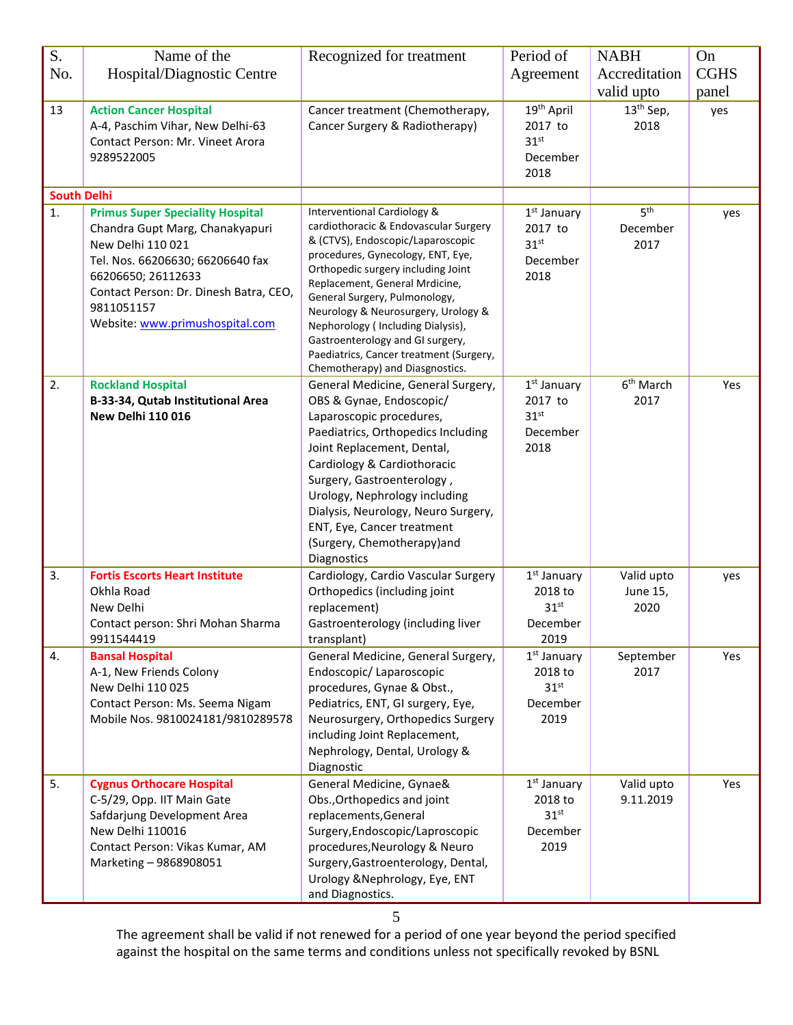| S.                 | Name of the                                                                                                                                                                                                                                          | Recognized for treatment                                                                                                                                                                                                                                                                                                                                                                                                                                         | Period of                                                                  | <b>NABH</b>                         | On          |
|--------------------|------------------------------------------------------------------------------------------------------------------------------------------------------------------------------------------------------------------------------------------------------|------------------------------------------------------------------------------------------------------------------------------------------------------------------------------------------------------------------------------------------------------------------------------------------------------------------------------------------------------------------------------------------------------------------------------------------------------------------|----------------------------------------------------------------------------|-------------------------------------|-------------|
| No.                | Hospital/Diagnostic Centre                                                                                                                                                                                                                           |                                                                                                                                                                                                                                                                                                                                                                                                                                                                  | Agreement                                                                  | Accreditation                       | <b>CGHS</b> |
|                    |                                                                                                                                                                                                                                                      |                                                                                                                                                                                                                                                                                                                                                                                                                                                                  |                                                                            | valid upto                          | panel       |
| 13                 | <b>Action Cancer Hospital</b><br>A-4, Paschim Vihar, New Delhi-63<br>Contact Person: Mr. Vineet Arora<br>9289522005                                                                                                                                  | Cancer treatment (Chemotherapy,<br>Cancer Surgery & Radiotherapy)                                                                                                                                                                                                                                                                                                                                                                                                | 19 <sup>th</sup> April<br>2017 to<br>31 <sup>st</sup><br>December<br>2018  | $13th$ Sep,<br>2018                 | yes         |
| <b>South Delhi</b> |                                                                                                                                                                                                                                                      |                                                                                                                                                                                                                                                                                                                                                                                                                                                                  |                                                                            |                                     |             |
| 1.                 | <b>Primus Super Speciality Hospital</b><br>Chandra Gupt Marg, Chanakyapuri<br>New Delhi 110 021<br>Tel. Nos. 66206630; 66206640 fax<br>66206650; 26112633<br>Contact Person: Dr. Dinesh Batra, CEO,<br>9811051157<br>Website: www.primushospital.com | <b>Interventional Cardiology &amp;</b><br>cardiothoracic & Endovascular Surgery<br>& (CTVS), Endoscopic/Laparoscopic<br>procedures, Gynecology, ENT, Eye,<br>Orthopedic surgery including Joint<br>Replacement, General Mrdicine,<br>General Surgery, Pulmonology,<br>Neurology & Neurosurgery, Urology &<br>Nephorology (Including Dialysis),<br>Gastroenterology and GI surgery,<br>Paediatrics, Cancer treatment (Surgery,<br>Chemotherapy) and Diasgnostics. | 1 <sup>st</sup> January<br>2017 to<br>31 <sup>st</sup><br>December<br>2018 | 5 <sup>th</sup><br>December<br>2017 | yes         |
| 2.                 | <b>Rockland Hospital</b><br>B-33-34, Qutab Institutional Area<br><b>New Delhi 110 016</b>                                                                                                                                                            | General Medicine, General Surgery,<br>OBS & Gynae, Endoscopic/<br>Laparoscopic procedures,<br>Paediatrics, Orthopedics Including<br>Joint Replacement, Dental,<br>Cardiology & Cardiothoracic<br>Surgery, Gastroenterology,<br>Urology, Nephrology including<br>Dialysis, Neurology, Neuro Surgery,<br>ENT, Eye, Cancer treatment<br>(Surgery, Chemotherapy)and<br>Diagnostics                                                                                   | $1st$ January<br>2017 to<br>31 <sup>st</sup><br>December<br>2018           | 6 <sup>th</sup> March<br>2017       | Yes         |
| 3.                 | <b>Fortis Escorts Heart Institute</b><br>Okhla Road<br>New Delhi<br>Contact person: Shri Mohan Sharma<br>9911544419                                                                                                                                  | Cardiology, Cardio Vascular Surgery<br>Orthopedics (including joint<br>replacement)<br>Gastroenterology (including liver<br>transplant)                                                                                                                                                                                                                                                                                                                          | $1st$ January<br>2018 to<br>31 <sup>st</sup><br>December<br>2019           | Valid upto<br>June 15,<br>2020      | yes         |
| 4.                 | <b>Bansal Hospital</b><br>A-1, New Friends Colony<br>New Delhi 110 025<br>Contact Person: Ms. Seema Nigam<br>Mobile Nos. 9810024181/9810289578                                                                                                       | General Medicine, General Surgery,<br>Endoscopic/Laparoscopic<br>procedures, Gynae & Obst.,<br>Pediatrics, ENT, GI surgery, Eye,<br>Neurosurgery, Orthopedics Surgery<br>including Joint Replacement,<br>Nephrology, Dental, Urology &<br>Diagnostic                                                                                                                                                                                                             | $1st$ January<br>2018 to<br>31 <sup>st</sup><br>December<br>2019           | September<br>2017                   | Yes         |
| 5.                 | <b>Cygnus Orthocare Hospital</b><br>C-5/29, Opp. IIT Main Gate<br>Safdarjung Development Area<br>New Delhi 110016<br>Contact Person: Vikas Kumar, AM<br>Marketing - 9868908051                                                                       | General Medicine, Gynae&<br>Obs., Orthopedics and joint<br>replacements, General<br>Surgery, Endoscopic/Laproscopic<br>procedures, Neurology & Neuro<br>Surgery, Gastroenterology, Dental,<br>Urology & Nephrology, Eye, ENT<br>and Diagnostics.                                                                                                                                                                                                                 | $1st$ January<br>2018 to<br>31 <sup>st</sup><br>December<br>2019           | Valid upto<br>9.11.2019             | Yes         |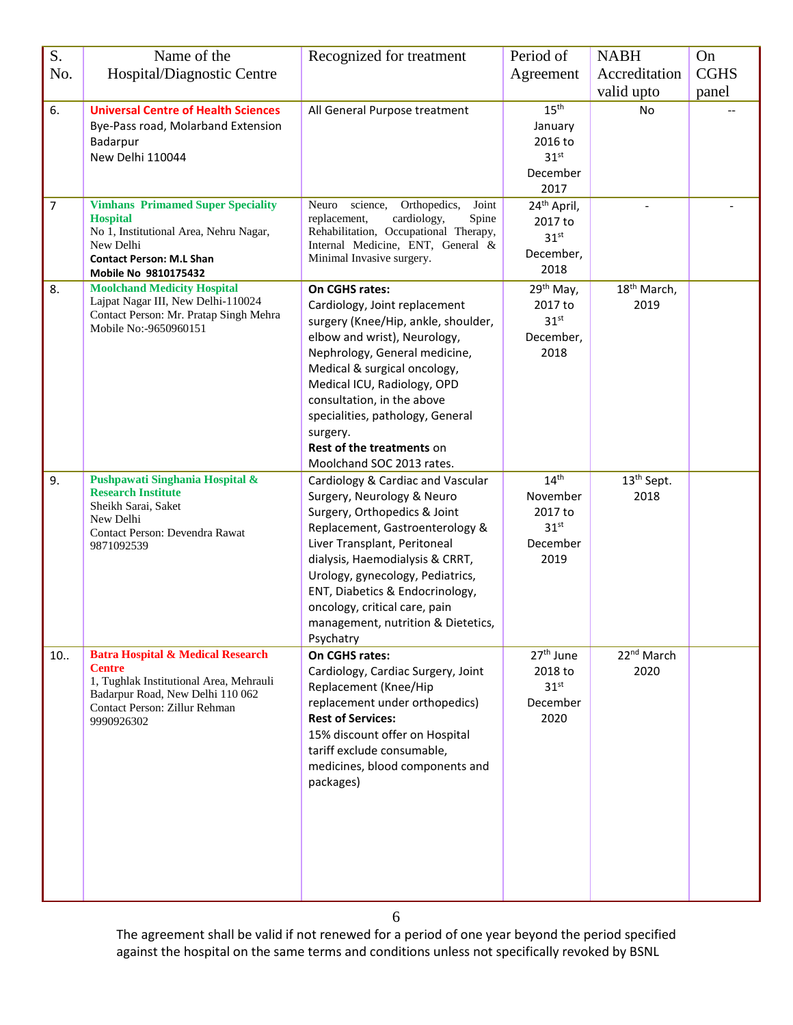| S.             | Name of the                                                                                                                                                                                 | Recognized for treatment                                                                                                                                                                                                                                                                                                                                              | Period of                                                                       | <b>NABH</b>                     | On          |
|----------------|---------------------------------------------------------------------------------------------------------------------------------------------------------------------------------------------|-----------------------------------------------------------------------------------------------------------------------------------------------------------------------------------------------------------------------------------------------------------------------------------------------------------------------------------------------------------------------|---------------------------------------------------------------------------------|---------------------------------|-------------|
| No.            | Hospital/Diagnostic Centre                                                                                                                                                                  |                                                                                                                                                                                                                                                                                                                                                                       | Agreement                                                                       | Accreditation                   | <b>CGHS</b> |
|                |                                                                                                                                                                                             |                                                                                                                                                                                                                                                                                                                                                                       |                                                                                 | valid upto                      | panel       |
| 6.             | <b>Universal Centre of Health Sciences</b><br>Bye-Pass road, Molarband Extension<br>Badarpur<br>New Delhi 110044                                                                            | All General Purpose treatment                                                                                                                                                                                                                                                                                                                                         | $15^{\text{th}}$<br>January<br>2016 to<br>31 <sup>st</sup><br>December<br>2017  | No                              |             |
| $\overline{7}$ | <b>Vimhans Primamed Super Speciality</b><br><b>Hospital</b><br>No 1, Institutional Area, Nehru Nagar,<br>New Delhi<br><b>Contact Person: M.L Shan</b><br>Mobile No 9810175432               | science,<br>Orthopedics,<br>Joint<br>Neuro<br>cardiology,<br>Spine<br>replacement,<br>Rehabilitation, Occupational Therapy,<br>Internal Medicine, ENT, General &<br>Minimal Invasive surgery.                                                                                                                                                                         | 24 <sup>th</sup> April,<br>2017 to<br>31 <sup>st</sup><br>December,<br>2018     |                                 |             |
| 8.             | <b>Moolchand Medicity Hospital</b><br>Lajpat Nagar III, New Delhi-110024<br>Contact Person: Mr. Pratap Singh Mehra<br>Mobile No:-9650960151                                                 | On CGHS rates:<br>Cardiology, Joint replacement<br>surgery (Knee/Hip, ankle, shoulder,<br>elbow and wrist), Neurology,<br>Nephrology, General medicine,<br>Medical & surgical oncology,<br>Medical ICU, Radiology, OPD<br>consultation, in the above<br>specialities, pathology, General<br>surgery.<br><b>Rest of the treatments on</b><br>Moolchand SOC 2013 rates. | 29 <sup>th</sup> May,<br>2017 to<br>31 <sup>st</sup><br>December,<br>2018       | 18 <sup>th</sup> March,<br>2019 |             |
| 9.             | Pushpawati Singhania Hospital &<br><b>Research Institute</b><br>Sheikh Sarai, Saket<br>New Delhi<br>Contact Person: Devendra Rawat<br>9871092539                                            | Cardiology & Cardiac and Vascular<br>Surgery, Neurology & Neuro<br>Surgery, Orthopedics & Joint<br>Replacement, Gastroenterology &<br>Liver Transplant, Peritoneal<br>dialysis, Haemodialysis & CRRT,<br>Urology, gynecology, Pediatrics,<br>ENT, Diabetics & Endocrinology,<br>oncology, critical care, pain<br>management, nutrition & Dietetics,<br>Psychatry      | 14 <sup>th</sup><br>November<br>2017 to<br>31 <sup>st</sup><br>December<br>2019 | 13 <sup>th</sup> Sept.<br>2018  |             |
| 10.            | <b>Batra Hospital &amp; Medical Research</b><br><b>Centre</b><br>1, Tughlak Institutional Area, Mehrauli<br>Badarpur Road, New Delhi 110 062<br>Contact Person: Zillur Rehman<br>9990926302 | On CGHS rates:<br>Cardiology, Cardiac Surgery, Joint<br>Replacement (Knee/Hip<br>replacement under orthopedics)<br><b>Rest of Services:</b><br>15% discount offer on Hospital<br>tariff exclude consumable,<br>medicines, blood components and<br>packages)                                                                                                           | 27 <sup>th</sup> June<br>2018 to<br>31 <sup>st</sup><br>December<br>2020        | 22 <sup>nd</sup> March<br>2020  |             |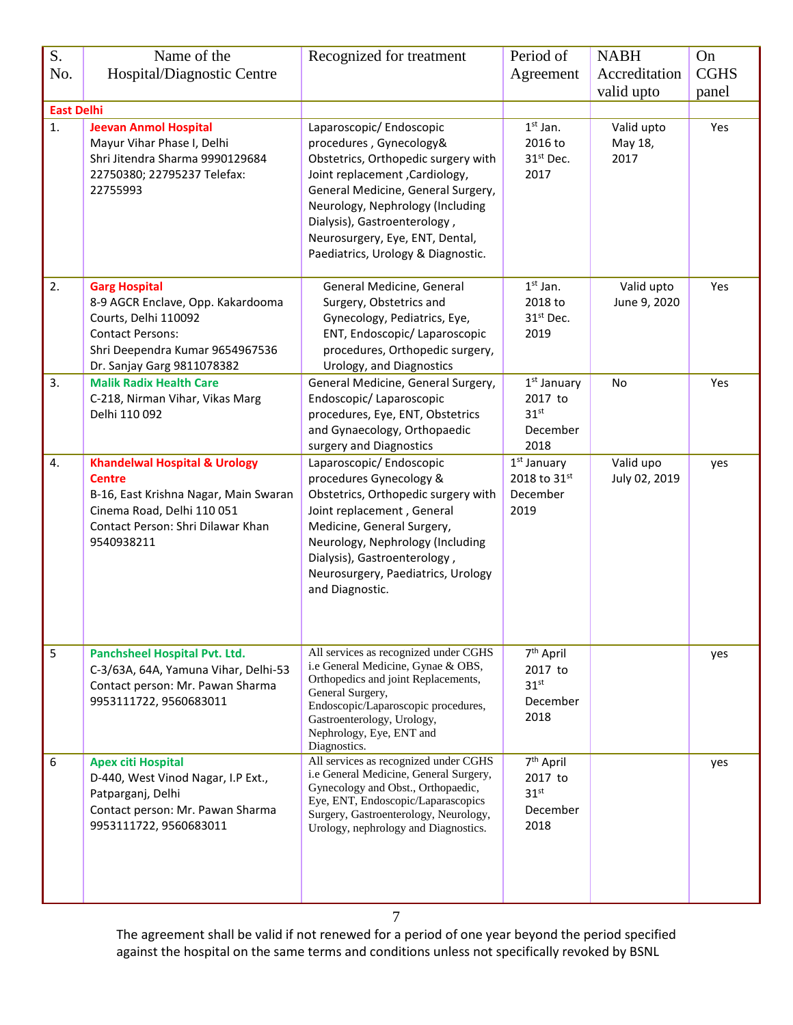| S.                | Name of the                                                                                                                                                                         | Recognized for treatment                                                                                                                                                                                                                                                                                         | Period of                                                                  | <b>NABH</b>                   | On          |
|-------------------|-------------------------------------------------------------------------------------------------------------------------------------------------------------------------------------|------------------------------------------------------------------------------------------------------------------------------------------------------------------------------------------------------------------------------------------------------------------------------------------------------------------|----------------------------------------------------------------------------|-------------------------------|-------------|
| No.               | Hospital/Diagnostic Centre                                                                                                                                                          |                                                                                                                                                                                                                                                                                                                  | Agreement                                                                  | Accreditation                 | <b>CGHS</b> |
|                   |                                                                                                                                                                                     |                                                                                                                                                                                                                                                                                                                  |                                                                            | valid upto                    | panel       |
| <b>East Delhi</b> |                                                                                                                                                                                     |                                                                                                                                                                                                                                                                                                                  |                                                                            |                               |             |
| 1.                | <b>Jeevan Anmol Hospital</b><br>Mayur Vihar Phase I, Delhi<br>Shri Jitendra Sharma 9990129684<br>22750380; 22795237 Telefax:<br>22755993                                            | Laparoscopic/ Endoscopic<br>procedures, Gynecology&<br>Obstetrics, Orthopedic surgery with<br>Joint replacement , Cardiology,<br>General Medicine, General Surgery,<br>Neurology, Nephrology (Including<br>Dialysis), Gastroenterology,<br>Neurosurgery, Eye, ENT, Dental,<br>Paediatrics, Urology & Diagnostic. | $1st$ Jan.<br>2016 to<br>31 <sup>st</sup> Dec.<br>2017                     | Valid upto<br>May 18,<br>2017 | Yes         |
| 2.                | <b>Garg Hospital</b><br>8-9 AGCR Enclave, Opp. Kakardooma<br>Courts, Delhi 110092<br><b>Contact Persons:</b><br>Shri Deependra Kumar 9654967536<br>Dr. Sanjay Garg 9811078382       | General Medicine, General<br>Surgery, Obstetrics and<br>Gynecology, Pediatrics, Eye,<br>ENT, Endoscopic/ Laparoscopic<br>procedures, Orthopedic surgery,<br>Urology, and Diagnostics                                                                                                                             | $1st$ Jan.<br>2018 to<br>31st Dec.<br>2019                                 | Valid upto<br>June 9, 2020    | Yes         |
| 3.                | <b>Malik Radix Health Care</b><br>C-218, Nirman Vihar, Vikas Marg<br>Delhi 110 092                                                                                                  | General Medicine, General Surgery,<br>Endoscopic/Laparoscopic<br>procedures, Eye, ENT, Obstetrics<br>and Gynaecology, Orthopaedic<br>surgery and Diagnostics                                                                                                                                                     | 1 <sup>st</sup> January<br>2017 to<br>31 <sup>st</sup><br>December<br>2018 | No                            | Yes         |
| 4.                | <b>Khandelwal Hospital &amp; Urology</b><br><b>Centre</b><br>B-16, East Krishna Nagar, Main Swaran<br>Cinema Road, Delhi 110 051<br>Contact Person: Shri Dilawar Khan<br>9540938211 | Laparoscopic/ Endoscopic<br>procedures Gynecology &<br>Obstetrics, Orthopedic surgery with<br>Joint replacement, General<br>Medicine, General Surgery,<br>Neurology, Nephrology (Including<br>Dialysis), Gastroenterology,<br>Neurosurgery, Paediatrics, Urology<br>and Diagnostic.                              | $1st$ January<br>2018 to 31st<br>December<br>2019                          | Valid upo<br>July 02, 2019    | yes         |
| 5                 | Panchsheel Hospital Pvt. Ltd.<br>C-3/63A, 64A, Yamuna Vihar, Delhi-53<br>Contact person: Mr. Pawan Sharma<br>9953111722, 9560683011                                                 | All services as recognized under CGHS<br>i.e General Medicine, Gynae & OBS,<br>Orthopedics and joint Replacements,<br>General Surgery,<br>Endoscopic/Laparoscopic procedures,<br>Gastroenterology, Urology,<br>Nephrology, Eye, ENT and<br>Diagnostics.                                                          | 7 <sup>th</sup> April<br>2017 to<br>31 <sup>st</sup><br>December<br>2018   |                               | yes         |
| 6                 | <b>Apex citi Hospital</b><br>D-440, West Vinod Nagar, I.P Ext.,<br>Patparganj, Delhi<br>Contact person: Mr. Pawan Sharma<br>9953111722, 9560683011                                  | All services as recognized under CGHS<br>i.e General Medicine, General Surgery,<br>Gynecology and Obst., Orthopaedic,<br>Eye, ENT, Endoscopic/Laparascopics<br>Surgery, Gastroenterology, Neurology,<br>Urology, nephrology and Diagnostics.                                                                     | 7 <sup>th</sup> April<br>2017 to<br>31 <sup>st</sup><br>December<br>2018   |                               | yes         |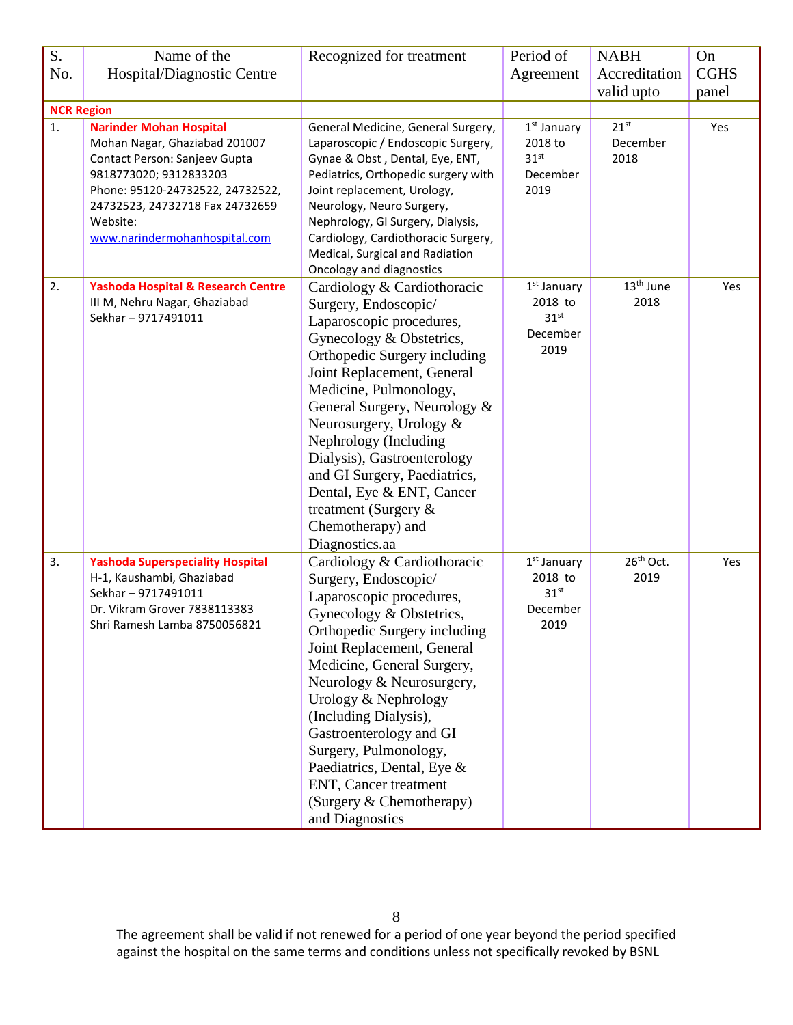| S.                | Name of the                                                                                                                                                                                                                                    | Recognized for treatment                                                                                                                                                                                                                                                                                                                                                                                                                               | Period of                                                                  | <b>NABH</b>                   | On          |
|-------------------|------------------------------------------------------------------------------------------------------------------------------------------------------------------------------------------------------------------------------------------------|--------------------------------------------------------------------------------------------------------------------------------------------------------------------------------------------------------------------------------------------------------------------------------------------------------------------------------------------------------------------------------------------------------------------------------------------------------|----------------------------------------------------------------------------|-------------------------------|-------------|
| No.               | Hospital/Diagnostic Centre                                                                                                                                                                                                                     |                                                                                                                                                                                                                                                                                                                                                                                                                                                        | Agreement                                                                  | Accreditation                 | <b>CGHS</b> |
|                   |                                                                                                                                                                                                                                                |                                                                                                                                                                                                                                                                                                                                                                                                                                                        |                                                                            | valid upto                    | panel       |
| <b>NCR Region</b> |                                                                                                                                                                                                                                                |                                                                                                                                                                                                                                                                                                                                                                                                                                                        |                                                                            |                               |             |
| 1.                | <b>Narinder Mohan Hospital</b><br>Mohan Nagar, Ghaziabad 201007<br>Contact Person: Sanjeev Gupta<br>9818773020; 9312833203<br>Phone: 95120-24732522, 24732522,<br>24732523, 24732718 Fax 24732659<br>Website:<br>www.narindermohanhospital.com | General Medicine, General Surgery,<br>Laparoscopic / Endoscopic Surgery,<br>Gynae & Obst, Dental, Eye, ENT,<br>Pediatrics, Orthopedic surgery with<br>Joint replacement, Urology,<br>Neurology, Neuro Surgery,<br>Nephrology, GI Surgery, Dialysis,<br>Cardiology, Cardiothoracic Surgery,<br>Medical, Surgical and Radiation<br>Oncology and diagnostics                                                                                              | 1 <sup>st</sup> January<br>2018 to<br>31 <sup>st</sup><br>December<br>2019 | $21^{st}$<br>December<br>2018 | Yes         |
| 2.                | <b>Yashoda Hospital &amp; Research Centre</b><br>III M, Nehru Nagar, Ghaziabad<br>Sekhar-9717491011                                                                                                                                            | Cardiology & Cardiothoracic<br>Surgery, Endoscopic/<br>Laparoscopic procedures,<br>Gynecology & Obstetrics,<br>Orthopedic Surgery including<br>Joint Replacement, General<br>Medicine, Pulmonology,<br>General Surgery, Neurology &<br>Neurosurgery, Urology &<br>Nephrology (Including<br>Dialysis), Gastroenterology<br>and GI Surgery, Paediatrics,<br>Dental, Eye & ENT, Cancer<br>treatment (Surgery $\&$<br>Chemotherapy) and<br>Diagnostics.aa  | 1 <sup>st</sup> January<br>2018 to<br>31 <sup>st</sup><br>December<br>2019 | 13 <sup>th</sup> June<br>2018 | Yes         |
| 3.                | <b>Yashoda Superspeciality Hospital</b><br>H-1, Kaushambi, Ghaziabad<br>Sekhar-9717491011<br>Dr. Vikram Grover 7838113383<br>Shri Ramesh Lamba 8750056821                                                                                      | Cardiology & Cardiothoracic<br>Surgery, Endoscopic/<br>Laparoscopic procedures,<br>Gynecology & Obstetrics,<br><b>Orthopedic Surgery including</b><br>Joint Replacement, General<br>Medicine, General Surgery,<br>Neurology & Neurosurgery,<br>Urology & Nephrology<br>(Including Dialysis),<br>Gastroenterology and GI<br>Surgery, Pulmonology,<br>Paediatrics, Dental, Eye &<br>ENT, Cancer treatment<br>(Surgery & Chemotherapy)<br>and Diagnostics | $1st$ January<br>2018 to<br>31 <sup>st</sup><br>December<br>2019           | 26 <sup>th</sup> Oct.<br>2019 | Yes         |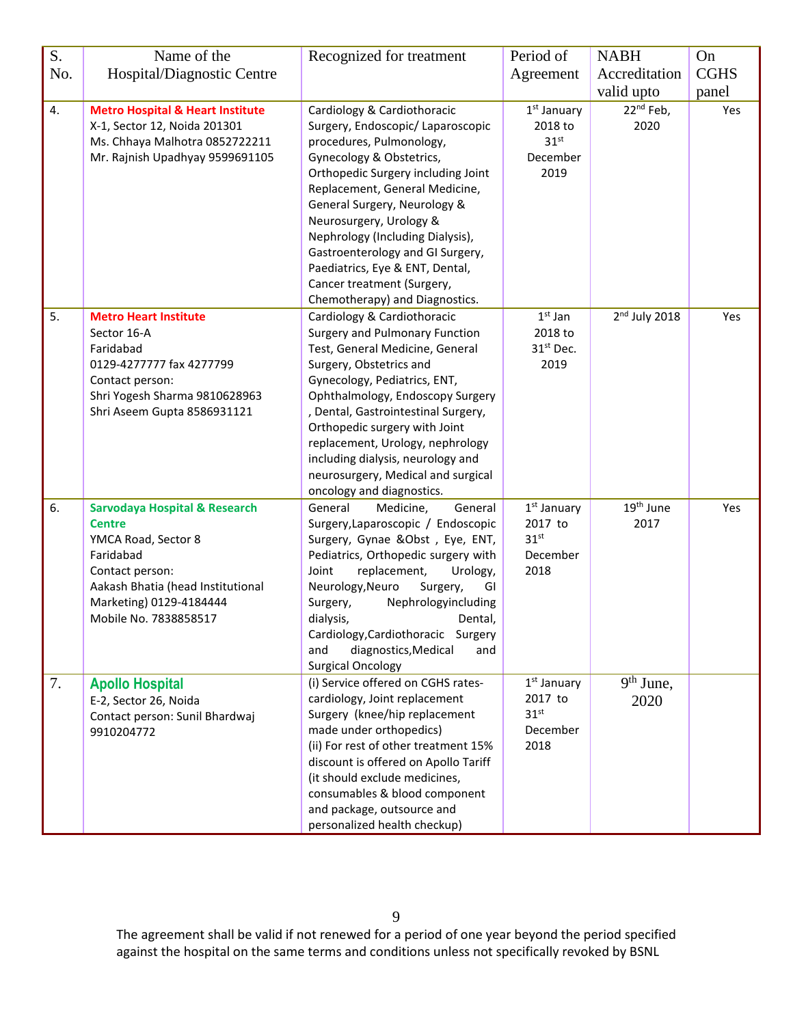| S.  | Name of the                                 | Recognized for treatment                                                 | Period of             | <b>NABH</b>           | On          |
|-----|---------------------------------------------|--------------------------------------------------------------------------|-----------------------|-----------------------|-------------|
| No. | Hospital/Diagnostic Centre                  |                                                                          | Agreement             | Accreditation         | <b>CGHS</b> |
|     |                                             |                                                                          |                       | valid upto            | panel       |
| 4.  | <b>Metro Hospital &amp; Heart Institute</b> | Cardiology & Cardiothoracic                                              | $1st$ January         | $22^{nd}$ Feb,        | Yes         |
|     | X-1, Sector 12, Noida 201301                | Surgery, Endoscopic/ Laparoscopic                                        | 2018 to               | 2020                  |             |
|     | Ms. Chhaya Malhotra 0852722211              | procedures, Pulmonology,                                                 | 31 <sup>st</sup>      |                       |             |
|     | Mr. Rajnish Upadhyay 9599691105             | Gynecology & Obstetrics,                                                 | December              |                       |             |
|     |                                             | Orthopedic Surgery including Joint                                       | 2019                  |                       |             |
|     |                                             | Replacement, General Medicine,                                           |                       |                       |             |
|     |                                             | General Surgery, Neurology &                                             |                       |                       |             |
|     |                                             | Neurosurgery, Urology &                                                  |                       |                       |             |
|     |                                             | Nephrology (Including Dialysis),                                         |                       |                       |             |
|     |                                             | Gastroenterology and GI Surgery,                                         |                       |                       |             |
|     |                                             | Paediatrics, Eye & ENT, Dental,                                          |                       |                       |             |
|     |                                             | Cancer treatment (Surgery,                                               |                       |                       |             |
|     |                                             | Chemotherapy) and Diagnostics.                                           |                       |                       |             |
| 5.  | <b>Metro Heart Institute</b><br>Sector 16-A | Cardiology & Cardiothoracic<br>Surgery and Pulmonary Function            | $1st$ Jan<br>2018 to  | $2nd$ July 2018       | Yes         |
|     | Faridabad                                   | Test, General Medicine, General                                          | 31 <sup>st</sup> Dec. |                       |             |
|     | 0129-4277777 fax 4277799                    | Surgery, Obstetrics and                                                  | 2019                  |                       |             |
|     | Contact person:                             | Gynecology, Pediatrics, ENT,                                             |                       |                       |             |
|     | Shri Yogesh Sharma 9810628963               | Ophthalmology, Endoscopy Surgery                                         |                       |                       |             |
|     | Shri Aseem Gupta 8586931121                 | , Dental, Gastrointestinal Surgery,                                      |                       |                       |             |
|     |                                             | Orthopedic surgery with Joint                                            |                       |                       |             |
|     |                                             | replacement, Urology, nephrology                                         |                       |                       |             |
|     |                                             | including dialysis, neurology and                                        |                       |                       |             |
|     |                                             | neurosurgery, Medical and surgical                                       |                       |                       |             |
|     |                                             | oncology and diagnostics.                                                |                       |                       |             |
| 6.  | <b>Sarvodaya Hospital &amp; Research</b>    | General<br>Medicine,<br>General                                          | $1st$ January         | 19 <sup>th</sup> June | Yes         |
|     | <b>Centre</b>                               | Surgery, Laparoscopic / Endoscopic                                       | 2017 to               | 2017                  |             |
|     | YMCA Road, Sector 8                         | Surgery, Gynae &Obst, Eye, ENT,                                          | 31 <sup>st</sup>      |                       |             |
|     | Faridabad                                   | Pediatrics, Orthopedic surgery with                                      | December              |                       |             |
|     | Contact person:                             | Joint<br>replacement,<br>Urology,                                        | 2018                  |                       |             |
|     | Aakash Bhatia (head Institutional           | Neurology, Neuro<br>Surgery,<br>GI                                       |                       |                       |             |
|     | Marketing) 0129-4184444                     | Nephrologyincluding<br>Surgery,                                          |                       |                       |             |
|     | Mobile No. 7838858517                       | dialysis,<br>Dental,                                                     |                       |                       |             |
|     |                                             | Cardiology, Cardiothoracic Surgery<br>and<br>diagnostics, Medical<br>and |                       |                       |             |
|     |                                             | <b>Surgical Oncology</b>                                                 |                       |                       |             |
| 7.  | <b>Apollo Hospital</b>                      | (i) Service offered on CGHS rates-                                       | $1st$ January         | $9th$ June,           |             |
|     | E-2, Sector 26, Noida                       | cardiology, Joint replacement                                            | 2017 to               | 2020                  |             |
|     | Contact person: Sunil Bhardwaj              | Surgery (knee/hip replacement                                            | 31 <sup>st</sup>      |                       |             |
|     | 9910204772                                  | made under orthopedics)                                                  | December              |                       |             |
|     |                                             | (ii) For rest of other treatment 15%                                     | 2018                  |                       |             |
|     |                                             | discount is offered on Apollo Tariff                                     |                       |                       |             |
|     |                                             | (it should exclude medicines,                                            |                       |                       |             |
|     |                                             | consumables & blood component                                            |                       |                       |             |
|     |                                             | and package, outsource and                                               |                       |                       |             |
|     |                                             | personalized health checkup)                                             |                       |                       |             |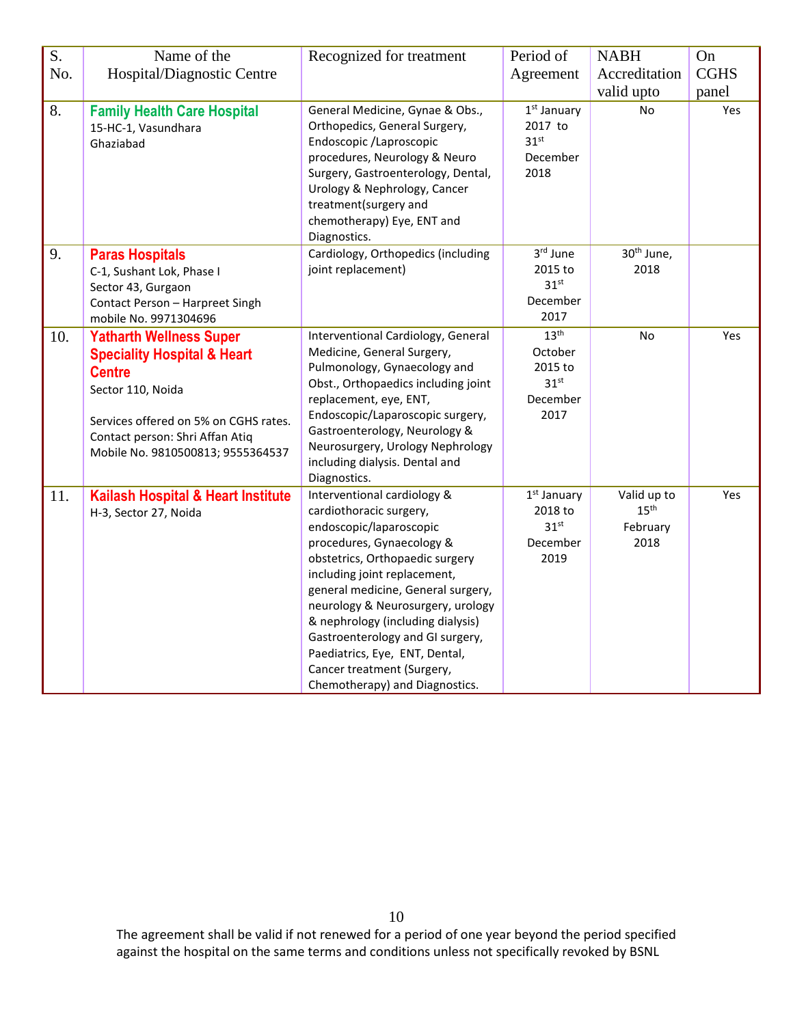| S.  | Name of the                                                                                                                                                                                                                     | Recognized for treatment                                                                                                                                                                                                                                                                                                                                                                                                                | Period of                                                                      | <b>NABH</b>                                         | On                   |
|-----|---------------------------------------------------------------------------------------------------------------------------------------------------------------------------------------------------------------------------------|-----------------------------------------------------------------------------------------------------------------------------------------------------------------------------------------------------------------------------------------------------------------------------------------------------------------------------------------------------------------------------------------------------------------------------------------|--------------------------------------------------------------------------------|-----------------------------------------------------|----------------------|
| No. | Hospital/Diagnostic Centre                                                                                                                                                                                                      |                                                                                                                                                                                                                                                                                                                                                                                                                                         | Agreement                                                                      | Accreditation<br>valid upto                         | <b>CGHS</b><br>panel |
| 8.  | <b>Family Health Care Hospital</b><br>15-HC-1, Vasundhara<br>Ghaziabad                                                                                                                                                          | General Medicine, Gynae & Obs.,<br>Orthopedics, General Surgery,<br>Endoscopic /Laproscopic<br>procedures, Neurology & Neuro<br>Surgery, Gastroenterology, Dental,<br>Urology & Nephrology, Cancer<br>treatment(surgery and<br>chemotherapy) Eye, ENT and<br>Diagnostics.                                                                                                                                                               | 1 <sup>st</sup> January<br>2017 to<br>31 <sup>st</sup><br>December<br>2018     | <b>No</b>                                           | Yes                  |
| 9.  | <b>Paras Hospitals</b><br>C-1, Sushant Lok, Phase I<br>Sector 43, Gurgaon<br>Contact Person - Harpreet Singh<br>mobile No. 9971304696                                                                                           | Cardiology, Orthopedics (including<br>joint replacement)                                                                                                                                                                                                                                                                                                                                                                                | 3rd June<br>2015 to<br>31 <sup>st</sup><br>December<br>2017                    | 30 <sup>th</sup> June,<br>2018                      |                      |
| 10. | <b>Yatharth Wellness Super</b><br><b>Speciality Hospital &amp; Heart</b><br><b>Centre</b><br>Sector 110, Noida<br>Services offered on 5% on CGHS rates.<br>Contact person: Shri Affan Atiq<br>Mobile No. 9810500813; 9555364537 | Interventional Cardiology, General<br>Medicine, General Surgery,<br>Pulmonology, Gynaecology and<br>Obst., Orthopaedics including joint<br>replacement, eye, ENT,<br>Endoscopic/Laparoscopic surgery,<br>Gastroenterology, Neurology &<br>Neurosurgery, Urology Nephrology<br>including dialysis. Dental and<br>Diagnostics.                                                                                                            | 13 <sup>th</sup><br>October<br>2015 to<br>31 <sup>st</sup><br>December<br>2017 | No                                                  | Yes                  |
| 11. | Kailash Hospital & Heart Institute<br>H-3, Sector 27, Noida                                                                                                                                                                     | Interventional cardiology &<br>cardiothoracic surgery,<br>endoscopic/laparoscopic<br>procedures, Gynaecology &<br>obstetrics, Orthopaedic surgery<br>including joint replacement,<br>general medicine, General surgery,<br>neurology & Neurosurgery, urology<br>& nephrology (including dialysis)<br>Gastroenterology and GI surgery,<br>Paediatrics, Eye, ENT, Dental,<br>Cancer treatment (Surgery,<br>Chemotherapy) and Diagnostics. | $1st$ January<br>2018 to<br>31 <sup>st</sup><br>December<br>2019               | Valid up to<br>$15^{\text{th}}$<br>February<br>2018 | Yes                  |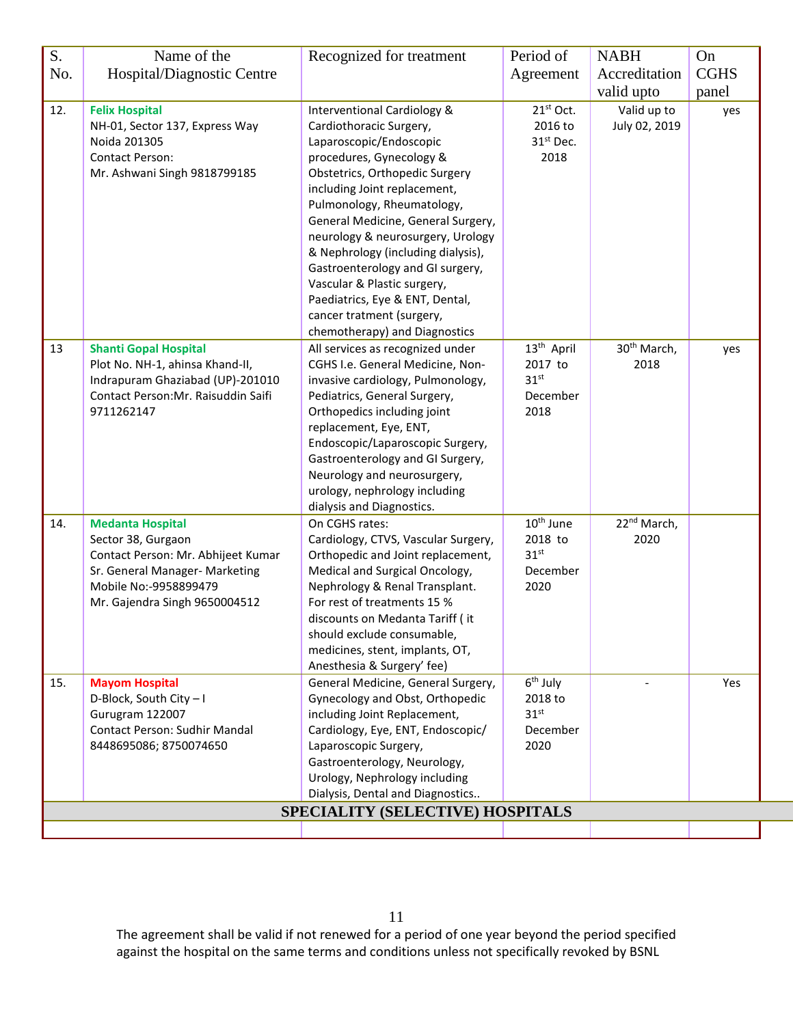| S.  | Name of the                                                                                                                                                                     | Recognized for treatment                                                                                                                                                                                                                                                                                                                                                                                                                                                                           | Period of                                                                 | <b>NABH</b>                     | On          |
|-----|---------------------------------------------------------------------------------------------------------------------------------------------------------------------------------|----------------------------------------------------------------------------------------------------------------------------------------------------------------------------------------------------------------------------------------------------------------------------------------------------------------------------------------------------------------------------------------------------------------------------------------------------------------------------------------------------|---------------------------------------------------------------------------|---------------------------------|-------------|
| No. | Hospital/Diagnostic Centre                                                                                                                                                      |                                                                                                                                                                                                                                                                                                                                                                                                                                                                                                    | Agreement                                                                 | Accreditation                   | <b>CGHS</b> |
|     |                                                                                                                                                                                 |                                                                                                                                                                                                                                                                                                                                                                                                                                                                                                    |                                                                           | valid upto                      | panel       |
| 12. | <b>Felix Hospital</b><br>NH-01, Sector 137, Express Way<br>Noida 201305<br><b>Contact Person:</b><br>Mr. Ashwani Singh 9818799185                                               | Interventional Cardiology &<br>Cardiothoracic Surgery,<br>Laparoscopic/Endoscopic<br>procedures, Gynecology &<br>Obstetrics, Orthopedic Surgery<br>including Joint replacement,<br>Pulmonology, Rheumatology,<br>General Medicine, General Surgery,<br>neurology & neurosurgery, Urology<br>& Nephrology (including dialysis),<br>Gastroenterology and GI surgery,<br>Vascular & Plastic surgery,<br>Paediatrics, Eye & ENT, Dental,<br>cancer tratment (surgery,<br>chemotherapy) and Diagnostics | 21st Oct.<br>2016 to<br>31 <sup>st</sup> Dec.<br>2018                     | Valid up to<br>July 02, 2019    | yes         |
| 13  | <b>Shanti Gopal Hospital</b><br>Plot No. NH-1, ahinsa Khand-II,<br>Indrapuram Ghaziabad (UP)-201010<br>Contact Person: Mr. Raisuddin Saifi<br>9711262147                        | All services as recognized under<br>CGHS I.e. General Medicine, Non-<br>invasive cardiology, Pulmonology,<br>Pediatrics, General Surgery,<br>Orthopedics including joint<br>replacement, Eye, ENT,<br>Endoscopic/Laparoscopic Surgery,<br>Gastroenterology and GI Surgery,<br>Neurology and neurosurgery,<br>urology, nephrology including<br>dialysis and Diagnostics.                                                                                                                            | 13 <sup>th</sup> April<br>2017 to<br>31 <sup>st</sup><br>December<br>2018 | 30 <sup>th</sup> March,<br>2018 | yes         |
| 14. | <b>Medanta Hospital</b><br>Sector 38, Gurgaon<br>Contact Person: Mr. Abhijeet Kumar<br>Sr. General Manager- Marketing<br>Mobile No:-9958899479<br>Mr. Gajendra Singh 9650004512 | On CGHS rates:<br>Cardiology, CTVS, Vascular Surgery,<br>Orthopedic and Joint replacement,<br>Medical and Surgical Oncology,<br>Nephrology & Renal Transplant.<br>For rest of treatments 15 %<br>discounts on Medanta Tariff (it<br>should exclude consumable,<br>medicines, stent, implants, OT,<br>Anesthesia & Surgery' fee)                                                                                                                                                                    | 10 <sup>th</sup> June<br>2018 to<br>31 <sup>st</sup><br>December<br>2020  | 22 <sup>nd</sup> March,<br>2020 |             |
| 15. | <b>Mayom Hospital</b><br>D-Block, South City-I<br>Gurugram 122007<br>Contact Person: Sudhir Mandal<br>8448695086; 8750074650                                                    | General Medicine, General Surgery,<br>Gynecology and Obst, Orthopedic<br>including Joint Replacement,<br>Cardiology, Eye, ENT, Endoscopic/<br>Laparoscopic Surgery,<br>Gastroenterology, Neurology,<br>Urology, Nephrology including<br>Dialysis, Dental and Diagnostics                                                                                                                                                                                                                           | $6th$ July<br>2018 to<br>31 <sup>st</sup><br>December<br>2020             |                                 | Yes         |
|     |                                                                                                                                                                                 | SPECIALITY (SELECTIVE) HOSPITALS                                                                                                                                                                                                                                                                                                                                                                                                                                                                   |                                                                           |                                 |             |
|     |                                                                                                                                                                                 |                                                                                                                                                                                                                                                                                                                                                                                                                                                                                                    |                                                                           |                                 |             |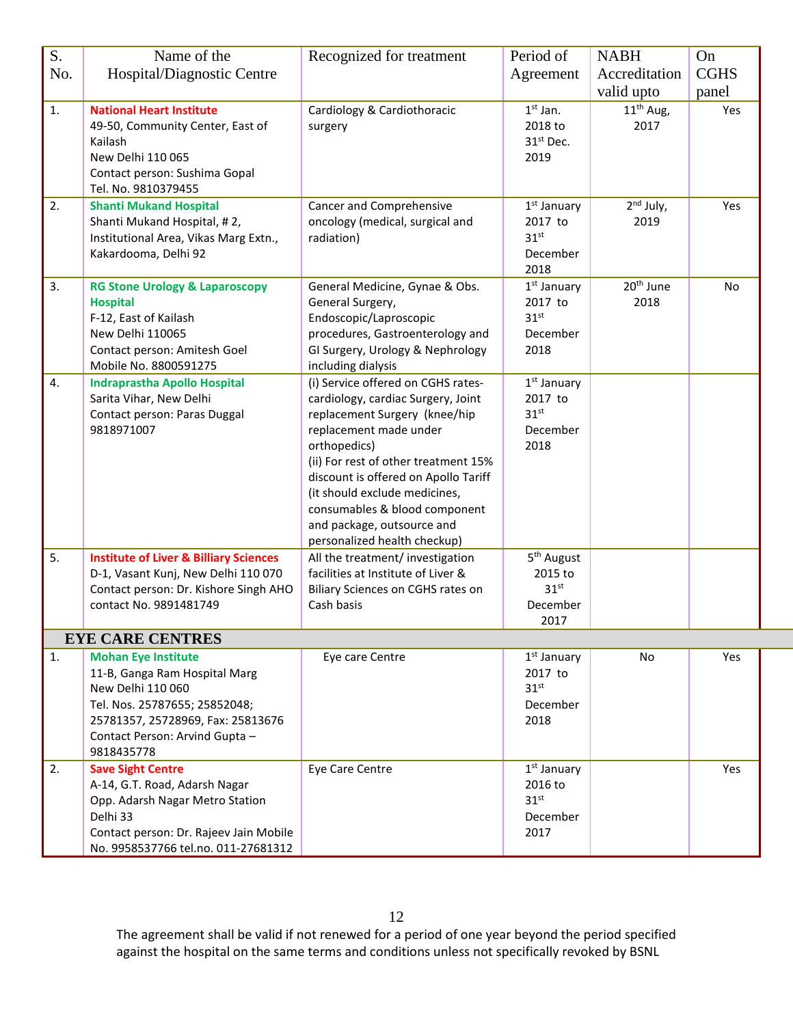| S.  | Name of the                                                                                                                                                                                            | Recognized for treatment                                                                                                                                                                                                                                                                                                                                            | Period of                                                                  | <b>NABH</b>                   | On                   |
|-----|--------------------------------------------------------------------------------------------------------------------------------------------------------------------------------------------------------|---------------------------------------------------------------------------------------------------------------------------------------------------------------------------------------------------------------------------------------------------------------------------------------------------------------------------------------------------------------------|----------------------------------------------------------------------------|-------------------------------|----------------------|
| No. | Hospital/Diagnostic Centre                                                                                                                                                                             |                                                                                                                                                                                                                                                                                                                                                                     | Agreement                                                                  | Accreditation<br>valid upto   | <b>CGHS</b><br>panel |
| 1.  | <b>National Heart Institute</b><br>49-50, Community Center, East of<br>Kailash<br>New Delhi 110 065<br>Contact person: Sushima Gopal<br>Tel. No. 9810379455                                            | Cardiology & Cardiothoracic<br>surgery                                                                                                                                                                                                                                                                                                                              | $1st$ Jan.<br>2018 to<br>31 <sup>st</sup> Dec.<br>2019                     | $11th$ Aug,<br>2017           | Yes                  |
| 2.  | <b>Shanti Mukand Hospital</b><br>Shanti Mukand Hospital, #2,<br>Institutional Area, Vikas Marg Extn.,<br>Kakardooma, Delhi 92                                                                          | Cancer and Comprehensive<br>oncology (medical, surgical and<br>radiation)                                                                                                                                                                                                                                                                                           | $1st$ January<br>2017 to<br>31 <sup>st</sup><br>December<br>2018           | $2^{nd}$ July,<br>2019        | Yes                  |
| 3.  | <b>RG Stone Urology &amp; Laparoscopy</b><br><b>Hospital</b><br>F-12, East of Kailash<br>New Delhi 110065<br>Contact person: Amitesh Goel<br>Mobile No. 8800591275                                     | General Medicine, Gynae & Obs.<br>General Surgery,<br>Endoscopic/Laproscopic<br>procedures, Gastroenterology and<br>GI Surgery, Urology & Nephrology<br>including dialysis                                                                                                                                                                                          | 1 <sup>st</sup> January<br>2017 to<br>31 <sup>st</sup><br>December<br>2018 | 20 <sup>th</sup> June<br>2018 | No                   |
| 4.  | <b>Indraprastha Apollo Hospital</b><br>Sarita Vihar, New Delhi<br>Contact person: Paras Duggal<br>9818971007                                                                                           | (i) Service offered on CGHS rates-<br>cardiology, cardiac Surgery, Joint<br>replacement Surgery (knee/hip<br>replacement made under<br>orthopedics)<br>(ii) For rest of other treatment 15%<br>discount is offered on Apollo Tariff<br>(it should exclude medicines,<br>consumables & blood component<br>and package, outsource and<br>personalized health checkup) | $1st$ January<br>2017 to<br>31 <sup>st</sup><br>December<br>2018           |                               |                      |
| 5.  | <b>Institute of Liver &amp; Billiary Sciences</b><br>D-1, Vasant Kunj, New Delhi 110 070<br>Contact person: Dr. Kishore Singh AHO<br>contact No. 9891481749                                            | All the treatment/ investigation<br>facilities at Institute of Liver &<br>Biliary Sciences on CGHS rates on<br>Cash basis                                                                                                                                                                                                                                           | 5 <sup>th</sup> August<br>2015 to<br>31 <sup>st</sup><br>December<br>2017  |                               |                      |
|     | <b>EYE CARE CENTRES</b>                                                                                                                                                                                |                                                                                                                                                                                                                                                                                                                                                                     |                                                                            |                               |                      |
| 1.  | <b>Mohan Eye Institute</b><br>11-B, Ganga Ram Hospital Marg<br>New Delhi 110 060<br>Tel. Nos. 25787655; 25852048;<br>25781357, 25728969, Fax: 25813676<br>Contact Person: Arvind Gupta -<br>9818435778 | Eye care Centre                                                                                                                                                                                                                                                                                                                                                     | $1st$ January<br>2017 to<br>$31^{st}$<br>December<br>2018                  | No                            | Yes                  |
| 2.  | <b>Save Sight Centre</b><br>A-14, G.T. Road, Adarsh Nagar<br>Opp. Adarsh Nagar Metro Station<br>Delhi 33<br>Contact person: Dr. Rajeev Jain Mobile<br>No. 9958537766 tel.no. 011-27681312              | Eye Care Centre                                                                                                                                                                                                                                                                                                                                                     | $1st$ January<br>2016 to<br>31 <sup>st</sup><br>December<br>2017           |                               | Yes                  |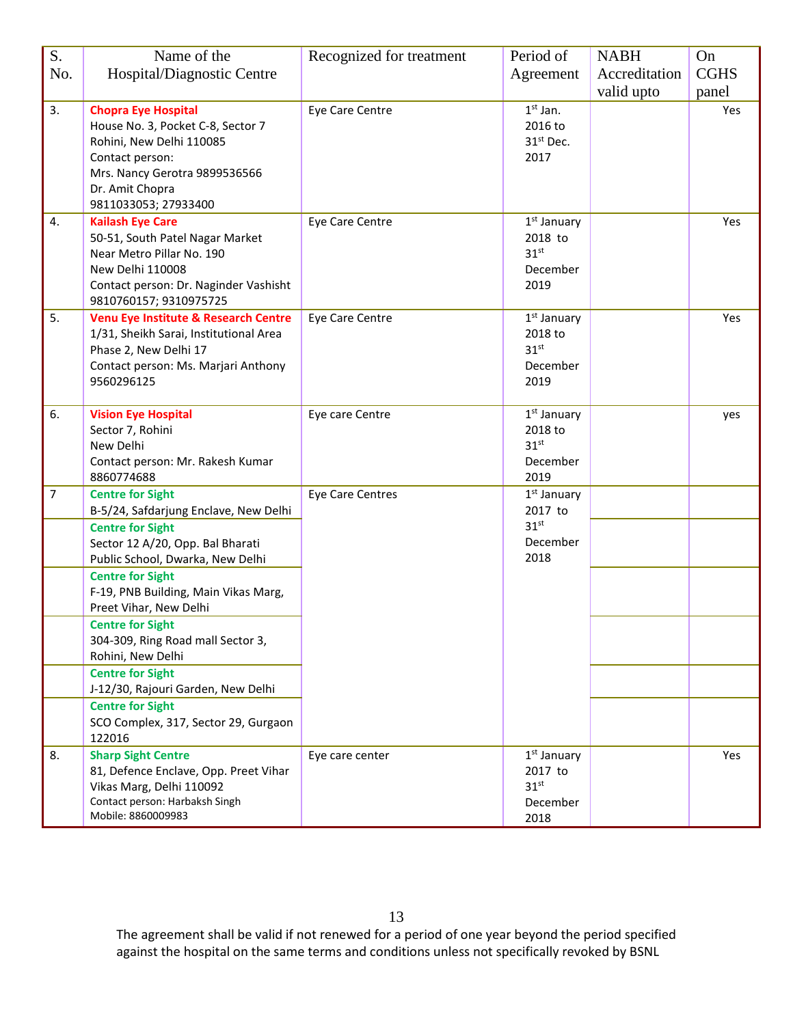| S.             | Name of the                                                  | Recognized for treatment | Period of                   | <b>NABH</b>   | On          |
|----------------|--------------------------------------------------------------|--------------------------|-----------------------------|---------------|-------------|
| No.            | Hospital/Diagnostic Centre                                   |                          | Agreement                   | Accreditation | <b>CGHS</b> |
|                |                                                              |                          |                             | valid upto    | panel       |
| 3.             | <b>Chopra Eye Hospital</b>                                   | Eye Care Centre          | $1st$ Jan.                  |               | Yes         |
|                | House No. 3, Pocket C-8, Sector 7                            |                          | 2016 to                     |               |             |
|                | Rohini, New Delhi 110085                                     |                          | 31 <sup>st</sup> Dec.       |               |             |
|                | Contact person:                                              |                          | 2017                        |               |             |
|                | Mrs. Nancy Gerotra 9899536566                                |                          |                             |               |             |
|                | Dr. Amit Chopra                                              |                          |                             |               |             |
|                | 9811033053; 27933400                                         |                          |                             |               |             |
| 4.             | <b>Kailash Eye Care</b>                                      | Eye Care Centre          | 1 <sup>st</sup> January     |               | Yes         |
|                | 50-51, South Patel Nagar Market                              |                          | 2018 to                     |               |             |
|                | Near Metro Pillar No. 190                                    |                          | 31 <sup>st</sup>            |               |             |
|                | New Delhi 110008                                             |                          | December                    |               |             |
|                | Contact person: Dr. Naginder Vashisht                        |                          | 2019                        |               |             |
|                | 9810760157; 9310975725                                       |                          |                             |               |             |
| 5.             | Venu Eye Institute & Research Centre                         | Eye Care Centre          | $1st$ January               |               | Yes         |
|                | 1/31, Sheikh Sarai, Institutional Area                       |                          | 2018 to<br>31 <sup>st</sup> |               |             |
|                | Phase 2, New Delhi 17<br>Contact person: Ms. Marjari Anthony |                          | December                    |               |             |
|                | 9560296125                                                   |                          | 2019                        |               |             |
|                |                                                              |                          |                             |               |             |
| 6.             | <b>Vision Eye Hospital</b>                                   | Eye care Centre          | $1st$ January               |               | yes         |
|                | Sector 7, Rohini                                             |                          | 2018 to                     |               |             |
|                | New Delhi                                                    |                          | 31 <sup>st</sup>            |               |             |
|                | Contact person: Mr. Rakesh Kumar                             |                          | December                    |               |             |
|                | 8860774688                                                   |                          | 2019                        |               |             |
| $\overline{7}$ | <b>Centre for Sight</b>                                      | Eye Care Centres         | $1st$ January               |               |             |
|                | B-5/24, Safdarjung Enclave, New Delhi                        |                          | 2017 to                     |               |             |
|                | <b>Centre for Sight</b>                                      |                          | 31 <sup>st</sup>            |               |             |
|                | Sector 12 A/20, Opp. Bal Bharati                             |                          | December                    |               |             |
|                | Public School, Dwarka, New Delhi                             |                          | 2018                        |               |             |
|                | <b>Centre for Sight</b>                                      |                          |                             |               |             |
|                | F-19, PNB Building, Main Vikas Marg,                         |                          |                             |               |             |
|                | Preet Vihar, New Delhi                                       |                          |                             |               |             |
|                | <b>Centre for Sight</b>                                      |                          |                             |               |             |
|                | 304-309, Ring Road mall Sector 3,<br>Rohini, New Delhi       |                          |                             |               |             |
|                | <b>Centre for Sight</b>                                      |                          |                             |               |             |
|                | J-12/30, Rajouri Garden, New Delhi                           |                          |                             |               |             |
|                | <b>Centre for Sight</b>                                      |                          |                             |               |             |
|                | SCO Complex, 317, Sector 29, Gurgaon                         |                          |                             |               |             |
|                | 122016                                                       |                          |                             |               |             |
| 8.             | <b>Sharp Sight Centre</b>                                    | Eye care center          | $1st$ January               |               | Yes         |
|                | 81, Defence Enclave, Opp. Preet Vihar                        |                          | 2017 to                     |               |             |
|                | Vikas Marg, Delhi 110092                                     |                          | 31 <sup>st</sup>            |               |             |
|                | Contact person: Harbaksh Singh                               |                          | December                    |               |             |
|                | Mobile: 8860009983                                           |                          | 2018                        |               |             |